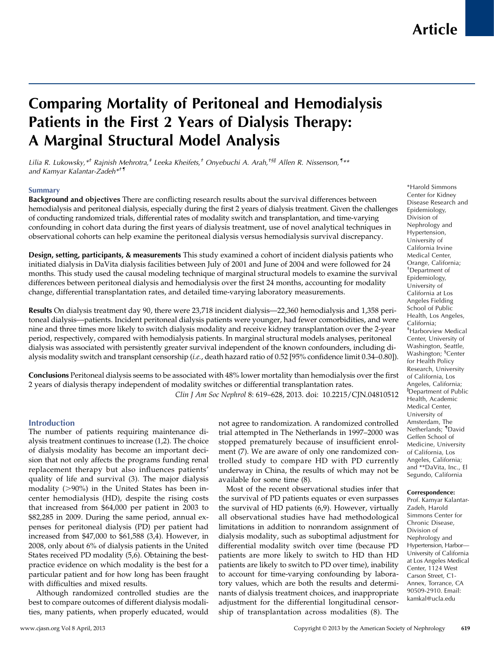# Comparing Mortality of Peritoneal and Hemodialysis Patients in the First 2 Years of Dialysis Therapy: A Marginal Structural Model Analysis

Lilia R. Lukowsky,\*† Rajnish Mehrotra,<sup>‡</sup> Leeka Kheifets,<sup>†</sup> Onyebuchi A. Arah,<sup>†§||</sup> Allen R. Nissenson,<sup>¶</sup>\*\* and Kamyar Kalantar-Zadeh\*†¶

## Summary

Background and objectives There are conflicting research results about the survival differences between hemodialysis and peritoneal dialysis, especially during the first 2 years of dialysis treatment. Given the challenges of conducting randomized trials, differential rates of modality switch and transplantation, and time-varying confounding in cohort data during the first years of dialysis treatment, use of novel analytical techniques in observational cohorts can help examine the peritoneal dialysis versus hemodialysis survival discrepancy.

Design, setting, participants, & measurements This study examined a cohort of incident dialysis patients who initiated dialysis in DaVita dialysis facilities between July of 2001 and June of 2004 and were followed for 24 months. This study used the causal modeling technique of marginal structural models to examine the survival differences between peritoneal dialysis and hemodialysis over the first 24 months, accounting for modality change, differential transplantation rates, and detailed time-varying laboratory measurements.

Results On dialysis treatment day 90, there were 23,718 incident dialysis—22,360 hemodialysis and 1,358 peritoneal dialysis—patients. Incident peritoneal dialysis patients were younger, had fewer comorbidities, and were nine and three times more likely to switch dialysis modality and receive kidney transplantation over the 2-year period, respectively, compared with hemodialysis patients. In marginal structural models analyses, peritoneal dialysis was associated with persistently greater survival independent of the known confounders, including dialysis modality switch and transplant censorship (i.e., death hazard ratio of 0.52 [95% confidence limit 0.34–0.80]).

Conclusions Peritoneal dialysis seems to be associated with 48% lower mortality than hemodialysis over the first 2 years of dialysis therapy independent of modality switches or differential transplantation rates. Clin J Am Soc Nephrol 8: 619–628, 2013. doi: 10.2215/CJN.04810512

## Introduction

The number of patients requiring maintenance dialysis treatment continues to increase (1,2). The choice of dialysis modality has become an important decision that not only affects the programs funding renal replacement therapy but also influences patients' quality of life and survival (3). The major dialysis modality  $(>90\%)$  in the United States has been incenter hemodialysis (HD), despite the rising costs that increased from \$64,000 per patient in 2003 to \$82,285 in 2009. During the same period, annual expenses for peritoneal dialysis (PD) per patient had increased from \$47,000 to \$61,588 (3,4). However, in 2008, only about 6% of dialysis patients in the United States received PD modality (5,6). Obtaining the bestpractice evidence on which modality is the best for a particular patient and for how long has been fraught with difficulties and mixed results.

Although randomized controlled studies are the best to compare outcomes of different dialysis modalities, many patients, when properly educated, would not agree to randomization. A randomized controlled trial attempted in The Netherlands in 1997–2000 was stopped prematurely because of insufficient enrolment (7). We are aware of only one randomized controlled study to compare HD with PD currently underway in China, the results of which may not be available for some time (8).

Most of the recent observational studies infer that the survival of PD patients equates or even surpasses the survival of HD patients (6,9). However, virtually all observational studies have had methodological limitations in addition to nonrandom assignment of dialysis modality, such as suboptimal adjustment for differential modality switch over time (because PD patients are more likely to switch to HD than HD patients are likely to switch to PD over time), inability to account for time-varying confounding by laboratory values, which are both the results and determinants of dialysis treatment choices, and inappropriate adjustment for the differential longitudinal censorship of transplantation across modalities (8). The

\*Harold Simmons Center for Kidney Disease Research and Epidemiology, Division of Nephrology and Hypertension, University of California Irvine Medical Center, Orange, California; † Department of Epidemiology, University of California at Los Angeles Fielding School of Public Health, Los Angeles, California; ‡ Harborview Medical Center, University of Washington, Seattle, Washington; <sup>§</sup>Center for Health Policy Research, University of California, Los Angeles, California; | Department of Public Health, Academic Medical Center, University of Amsterdam, The Netherlands; ¶ David Geffen School of Medicine, University of California, Los Angeles, California; and \*\*DaVita, Inc., El Segundo, California

#### Correspondence:

Prof. Kamyar Kalantar-Zadeh, Harold Simmons Center for Chronic Disease, Division of Nephrology and Hypertension, Harbor— University of California at Los Angeles Medical Center, 1124 West Carson Street, C1- Annex, Torrance, CA 90509-2910. Email: [kamkal@ucla.edu](mailto:kamkal@ucla.edu)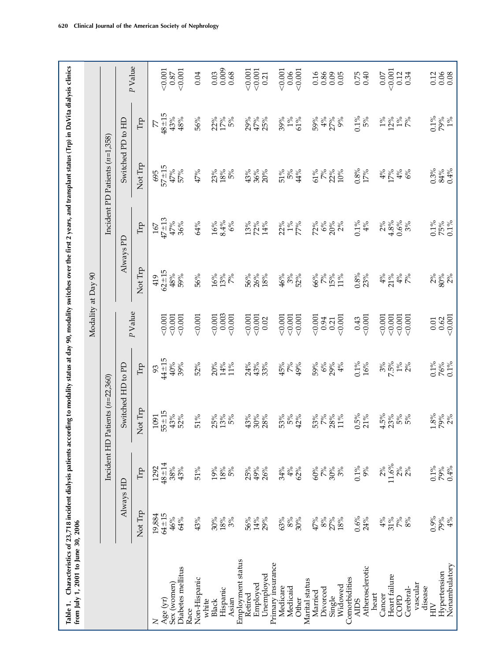|                                                                                                                                                                                               |                    |                                   |                   | P Value                 | < 0.001             | 0.87                    | < 0.001           | 0.04                          | 0.03         | 0.009          | 0.68    |                   | $<\!0.001$ | < 0.001<br>0.21 |                                 | < 0.001  | 0.06                    | < 0.001     |                | 0.16    | $0.86$<br>0.09           |            | 0.05    |               | $0.75$<br>$0.40$     |                 |       | 0.07           | < 0.001       | 0.12            | 0.34      |          |                |              | 0.188              |
|-----------------------------------------------------------------------------------------------------------------------------------------------------------------------------------------------|--------------------|-----------------------------------|-------------------|-------------------------|---------------------|-------------------------|-------------------|-------------------------------|--------------|----------------|---------|-------------------|------------|-----------------|---------------------------------|----------|-------------------------|-------------|----------------|---------|--------------------------|------------|---------|---------------|----------------------|-----------------|-------|----------------|---------------|-----------------|-----------|----------|----------------|--------------|--------------------|
|                                                                                                                                                                                               |                    |                                   |                   | Trp                     | $48 + 15$           | 43%                     | 48%               | 56%                           |              | $22%$<br>$17%$ | 5%      |                   | 29%        | $47\%$<br>25%   |                                 | 39%      | $1\%$                   | 61%         |                | 59%     | $\frac{4\%}{27\%}$       |            | 9%      |               | $0.1\%$              | 5%              |       | $1\%$ $12\%$   |               | $1\%$           | $7\%$     |          | $0.1\%$        | 79%          | $1\%$              |
|                                                                                                                                                                                               |                    | Incident PD Patients $(n=1,358)$  | Switched PD to HD | Not Trp                 | $57 + 15$<br>695    | $47\%$                  | 57%               | 47%                           | 23%          | $18%^{6}$      |         |                   | 43%        | 36%<br>20%      |                                 |          | $5\%$                   | 44%         |                | 61%     | 7%                       | 22%<br>10% |         |               | $\frac{0.8\%}{17\%}$ |                 |       | 4%             | 17%           | 4%              | 6%        |          | $0.3\%$        |              | 84%<br>0.4%        |
|                                                                                                                                                                                               |                    |                                   |                   | Trp                     | $47 + 13$<br>167    | $47\%$                  | 36%               | 64%                           | $16\%$       | 8.4%           | 6%      |                   | 13%        | 72%<br>14%      |                                 |          | $22%$<br>$72%$<br>$77%$ |             |                | 72%     | 6%                       | 20%        | 2%      |               | $0.1\%$              | 4%              |       | 2%             | $4.8\%$       | 0.6%            | 3%        |          | $0.1\%$        |              | 75%<br>0.1%        |
|                                                                                                                                                                                               |                    |                                   | Always PD         | Not Trp                 | $62 + 15$<br>419    | $48\%$                  | 59%               | 56%                           | $16\%$       | 13%            | 7%      |                   | 56%        | 26%<br>18%      |                                 | 46%      | 3%                      | 52%         |                | 66%     | $7\frac{8}{15}\%$<br>11% |            |         |               | $\frac{0.8\%}{23\%}$ |                 |       | 4%             | 21%           | 4%              | 7%        |          |                |              | $\frac{2\%}{80\%}$ |
|                                                                                                                                                                                               | Modality at Day 90 |                                   |                   | P Value                 | < 0.001             | < 0.001                 | < 0.001           | < 0.001                       | $<\!\!0.001$ | 0.003          | < 0.001 |                   | < 0.001    | < 0.001<br>0.02 |                                 | < 0.001  | < 0.001                 | < 0.001     |                | < 0.001 | 0.94                     | 0.21       | 0.001   |               | 0.43                 | < 0.001         |       | < 0.001        | < 0.001       | < 0.001         | < 0.001   |          | 0.01           | 0.62         | < 0.001            |
|                                                                                                                                                                                               |                    |                                   |                   | Trp                     | 44±15<br>93         | $40\%$                  | 39%               | 52%                           | 20%          | 14%            | 11%     |                   | 24%        | 43%<br>33%      |                                 |          | $45%$<br>$7%$           | 49%         |                | 59%     | 6%                       | 29%        | 4%      |               | $0.1\%$              | 16%             |       | 3%             | $7.5\%$       | $\frac{1}{2}$ % |           |          | $0.1\%$        |              | 76%<br>0.1%        |
| Characteristics of 23,718 incident dialysis patients according to modality status at day 90, modality switches over the first 2 years, and transplant status (Trp) in DaVita dialysis clinics |                    | Incident HD Patients $(n=22,360)$ | Switched HD to PD | Not Trp                 | $55 + 15$<br>1091   | 43%                     | 52%               | 51%                           | 25%          | 13%            | 5%      |                   | 43%        | 30%<br>28%      |                                 | 53%      |                         | $5%$<br>42% |                | 53%     | 7%                       | 28%        | 11%     |               | 0.5%                 | 21%             |       | $4.5\%$<br>23% |               | $5\%$<br>5%     |           |          | $1.8\%$        |              | 79%<br>2%          |
|                                                                                                                                                                                               |                    |                                   | Always HD         | $\operatorname{Tr}\! p$ | $48 + 14$<br>1292   | 38%                     | 43%               | 51%                           | 19%          | $18\%$         | 5%      |                   | 25%        | 49%<br>26%      |                                 | 34%      | $4\%$                   | 62%         |                | $60\%$  | $7\%$<br>30%             |            | 3%      |               | $0.1\%$              | 9%              |       | 2%             | 11.6%         | 2%              | 2%        |          | $0.1\%$        | 79%          | 0.4%               |
|                                                                                                                                                                                               |                    |                                   |                   | Not Trp                 | $64 + 15$<br>19,884 | 46%                     | 64%               | 43%                           | 30%          | $18\%$         | 3%      |                   | 56%        | $14\%$<br>29%   |                                 | 63%      | $8\%$                   | 30%         |                | $47\%$  | $8\%$ $27\%$             |            | $18\%$  |               | 0.6%                 | 24%             |       | 4%             | $31\%$        | 7%              | 8%        |          | 0.9%           | 79%          | 4%                 |
| from July 1, 2001 to June 30, 2006<br>Table 1.                                                                                                                                                |                    |                                   |                   |                         |                     | Sex (women)<br>Age (yr) | Diabetes mellitus | Non-Hispanic<br>white<br>Race | <b>Black</b> | Hispanic       | Asian   | Employment status | Retired    | Employed        | Primary insurance<br>Unemployed | Medicare | Medicaid                | Other       | Marital status | Married | Divorced                 | Single     | Widowed | Comorbidities | <b>AIDS</b>          | Atherosclerotic | heart | Cancer         | Heart failure | COPD            | Cerebral- | vascular | disease<br>HIV | Hypertension | Nonambulatory      |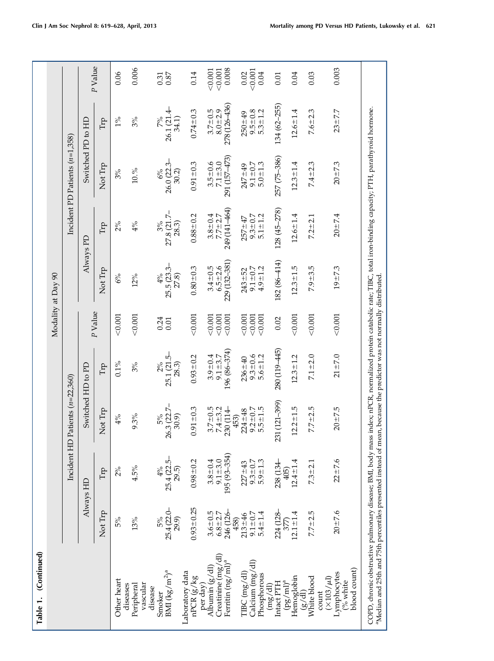| (Continued)<br>Table 1.                                                                                                                                                                                                                                                                                     |                                                 |                                                |                                                 |                                            |                               |                                              |                                               |                                             |                                             |                                  |
|-------------------------------------------------------------------------------------------------------------------------------------------------------------------------------------------------------------------------------------------------------------------------------------------------------------|-------------------------------------------------|------------------------------------------------|-------------------------------------------------|--------------------------------------------|-------------------------------|----------------------------------------------|-----------------------------------------------|---------------------------------------------|---------------------------------------------|----------------------------------|
|                                                                                                                                                                                                                                                                                                             |                                                 |                                                |                                                 |                                            |                               | Modality at Day 90                           |                                               |                                             |                                             |                                  |
|                                                                                                                                                                                                                                                                                                             |                                                 | Incident HD                                    | Patients $(n=22,360)$                           |                                            |                               |                                              |                                               | Incident PD Patients $(n=1,358)$            |                                             |                                  |
|                                                                                                                                                                                                                                                                                                             |                                                 | Always HD                                      | Switched HD to PD                               |                                            |                               | Always PD                                    |                                               | Switched PD to HD                           |                                             |                                  |
|                                                                                                                                                                                                                                                                                                             | Not Trp                                         | Trp                                            | Not Trp                                         | Trp                                        | P Value                       | Not Trp                                      | Trp                                           | Not Trp                                     | $\rm Trp$                                   | P Value                          |
| Other heart                                                                                                                                                                                                                                                                                                 | 5%                                              | $2\%$                                          | 4%                                              | $0.1\%$                                    | < 0.001                       | $6\%$                                        | $2\%$                                         | 3%                                          | $1\%$                                       | 0.06                             |
| vascular<br>Peripheral<br>diseases<br>disease                                                                                                                                                                                                                                                               | 13%                                             | 4.5%                                           | 9.3%                                            | 3%                                         | < 0.001                       | 12%                                          | 4%                                            | 10.%                                        | 3%                                          | 0.006                            |
| BMI $({\rm kg/m^2})^{\rm a}$<br>Smoker                                                                                                                                                                                                                                                                      | 25.4 (22.0<br>5%<br>29.9)                       | 25.4 (22.5-<br>29.5)<br>4%                     | 26.3 (22.7-<br>5%<br>30.9)                      | 25.1 (21.5-<br>2%<br>28.3)                 | $0.24$<br>$0.01$              | $25.5(23.3-$<br>27.8)<br>4%                  | 27.8 (21.7–<br>3%<br>28.3)                    | 26.0 (22.3-<br>30.2)<br>6%                  | 26.1 (21.4<br>34.1)<br>7%                   | $\frac{0.31}{0.87}$              |
| Laboratory data<br>$\mathrm{nPCR}\,(\mathrm{g}/\mathrm{kg}$                                                                                                                                                                                                                                                 | $0.93 + 0.25$                                   | $0.98 + 0.2$                                   | $0.91 \pm 0.3$                                  | $0.93 + 0.2$                               | < 0.001                       | $0.80 \pm 0.3$                               | $0.88 + 0.2$                                  | $0.91 \pm 0.3$                              | $0.74 \pm 0.3$                              | 0.14                             |
| Creatinine (mg/dl)<br>Ferritin $(\text{ng}/\text{ml})^\text{a}$<br>Albumin (g/dl)<br>per day)                                                                                                                                                                                                               | 246 (126-<br>$3.6 + 0.5$<br>$6.8 + 2.7$<br>458) | 195 (93-354)<br>$3.8 + 0.4$<br>$9.1 + 3.0$     | $3.7 + 0.5$<br>$7.4 + 3.2$<br>230 (114-<br>453) | 196 (86-374)<br>$3.9 + 0.4$<br>$9.1 + 3.7$ | < 0.001<br>< 0.001<br>< 0.001 | 229 (132-381<br>$3.4 + 0.5$<br>$6.5 \pm 2.6$ | 249 (141-464)<br>$3.8 + 0.4$<br>$7.7 \pm 2.7$ | 291 (157-473)<br>$3.5 + 0.6$<br>$7.1 + 3.0$ | 278 (126-436)<br>$3.7 + 0.5$<br>$8.0 + 2.9$ | 0.008<br>$<\!\!0.001$<br>< 0.001 |
| Calcium (mg/dl)<br>TIBC $(mg/dl)$<br>Phosphorous                                                                                                                                                                                                                                                            | $9.1 \pm 0.7$<br>$5.4 - 1.4$<br>$213 + 46$      | $9.3 \pm 0.7$<br>5.9 $\pm 1.3$<br>$227 \pm 43$ | $9.2 + 0.7$<br>$5.5 + 1.5$<br>$224 \pm 48$      | $9.3 + 0.6$<br>$5.6 - 1.2$<br>$236 \pm 40$ | < 0.001<br>< 0.001<br>< 0.001 | $9.1 \pm 0.7$<br>$4.9 + 1.2$<br>$243 + 52$   | $9.3 + 0.7$<br>$5.1 \pm 1.2$<br>$257 + 47$    | $5.0 + 1.3$<br>$9.1 \pm 0.7$<br>247±49      | $9.5 \pm 0.8$<br>5.3 ± 1.2<br>$250 \pm 49$  | < 0.001<br>0.02<br>0.04          |
| $\mathrm{e}(\mathrm{m/sd})$<br>$\frac{\rm (m_{\rm g}^{-}/\rm dI)}{\rm Intact~PTH}$                                                                                                                                                                                                                          | 224 (128-<br>377)                               | 238 (134-<br>405)                              | 231 (121-399)                                   | 280 (119-445)                              | 0.02                          | $182(86 - 414)$                              | 128 (45-278)                                  | 257 (75-386)                                | 134 (62-255)                                | 0.01                             |
| Hemoglobin<br>$(\mathrm{B}/\mathrm{d}\mathrm{l})$                                                                                                                                                                                                                                                           | $12.1 \pm 1.4$                                  | $12.4 \pm 1.4$                                 | $12.2 \pm 1.5$                                  | $12.3 + 1.2$                               | $<\!0.001$                    | $12.3 \pm 1.5$                               | $12.6 \pm 1.4$                                | $12.3 \pm 1.4$                              | $12.6 \pm 1.4$                              | 0.04                             |
| White blood<br>count                                                                                                                                                                                                                                                                                        | $7.7 \pm 2.5$                                   | $7.3 + 2.1$                                    | $7.7 \pm 2.5$                                   | $7.1 + 2.0$                                | < 0.001                       | $7.9 + 3.5$                                  | $7.2 + 2.1$                                   | $7.4 \pm 2.3$                               | $7.6 + 2.3$                                 | 0.03                             |
| blood count)<br>Lymphocytes<br>$(\times 103/\mu l)$<br>$\frac{1}{2}$ white                                                                                                                                                                                                                                  | $20 + 7.6$                                      | $22 + 7.6$                                     | $20 + 7.5$                                      | $21 + 7.0$                                 | $<\!0.001$                    | $19 + 7.3$                                   | $20 + 7.4$                                    | $20 + 7.3$                                  | $23 + 7.7$                                  | 0.003                            |
| COPD, chronic obstructive pulmonary disease; BML, body mass index; nPCR, normalized protein catabolic rate; TIBC, total iron-binding capacity; PTH, parathyroid hormone.<br><sup>a</sup> Median and 25th and 75th percentiles presented instead of mean, because the predictor was not normally distributed |                                                 |                                                |                                                 |                                            |                               |                                              |                                               |                                             |                                             |                                  |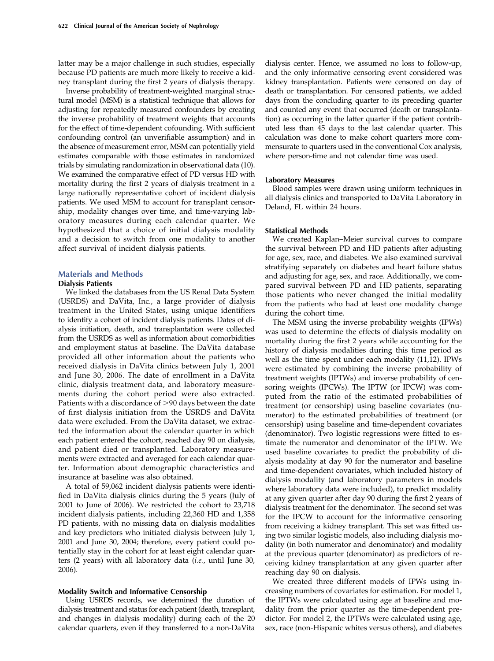latter may be a major challenge in such studies, especially because PD patients are much more likely to receive a kidney transplant during the first 2 years of dialysis therapy.

Inverse probability of treatment-weighted marginal structural model (MSM) is a statistical technique that allows for adjusting for repeatedly measured confounders by creating the inverse probability of treatment weights that accounts for the effect of time-dependent cofounding. With sufficient confounding control (an unverifiable assumption) and in the absence of measurement error, MSM can potentially yield estimates comparable with those estimates in randomized trials by simulating randomization in observational data (10). We examined the comparative effect of PD versus HD with mortality during the first 2 years of dialysis treatment in a large nationally representative cohort of incident dialysis patients. We used MSM to account for transplant censorship, modality changes over time, and time-varying laboratory measures during each calendar quarter. We hypothesized that a choice of initial dialysis modality and a decision to switch from one modality to another affect survival of incident dialysis patients.

## Materials and Methods

## Dialysis Patients

We linked the databases from the US Renal Data System (USRDS) and DaVita, Inc., a large provider of dialysis treatment in the United States, using unique identifiers to identify a cohort of incident dialysis patients. Dates of dialysis initiation, death, and transplantation were collected from the USRDS as well as information about comorbidities and employment status at baseline. The DaVita database provided all other information about the patients who received dialysis in DaVita clinics between July 1, 2001 and June 30, 2006. The date of enrollment in a DaVita clinic, dialysis treatment data, and laboratory measurements during the cohort period were also extracted. Patients with a discordance of  $>90$  days between the date of first dialysis initiation from the USRDS and DaVita data were excluded. From the DaVita dataset, we extracted the information about the calendar quarter in which each patient entered the cohort, reached day 90 on dialysis, and patient died or transplanted. Laboratory measurements were extracted and averaged for each calendar quarter. Information about demographic characteristics and insurance at baseline was also obtained.

A total of 59,062 incident dialysis patients were identified in DaVita dialysis clinics during the 5 years (July of 2001 to June of 2006). We restricted the cohort to 23,718 incident dialysis patients, including 22,360 HD and 1,358 PD patients, with no missing data on dialysis modalities and key predictors who initiated dialysis between July 1, 2001 and June 30, 2004; therefore, every patient could potentially stay in the cohort for at least eight calendar quarters (2 years) with all laboratory data (i.e., until June 30, 2006).

## Modality Switch and Informative Censorship

Using USRDS records, we determined the duration of dialysis treatment and status for each patient (death, transplant, and changes in dialysis modality) during each of the 20 calendar quarters, even if they transferred to a non-DaVita

dialysis center. Hence, we assumed no loss to follow-up, and the only informative censoring event considered was kidney transplantation. Patients were censored on day of death or transplantation. For censored patients, we added days from the concluding quarter to its preceding quarter and counted any event that occurred (death or transplantation) as occurring in the latter quarter if the patient contributed less than 45 days to the last calendar quarter. This calculation was done to make cohort quarters more commensurate to quarters used in the conventional Cox analysis, where person-time and not calendar time was used.

## Laboratory Measures

Blood samples were drawn using uniform techniques in all dialysis clinics and transported to DaVita Laboratory in Deland, FL within 24 hours.

### Statistical Methods

We created Kaplan–Meier survival curves to compare the survival between PD and HD patients after adjusting for age, sex, race, and diabetes. We also examined survival stratifying separately on diabetes and heart failure status and adjusting for age, sex, and race. Additionally, we compared survival between PD and HD patients, separating those patients who never changed the initial modality from the patients who had at least one modality change during the cohort time.

The MSM using the inverse probability weights (IPWs) was used to determine the effects of dialysis modality on mortality during the first 2 years while accounting for the history of dialysis modalities during this time period as well as the time spent under each modality (11,12). IPWs were estimated by combining the inverse probability of treatment weights (IPTWs) and inverse probability of censoring weights (IPCWs). The IPTW (or IPCW) was computed from the ratio of the estimated probabilities of treatment (or censorship) using baseline covariates (numerator) to the estimated probabilities of treatment (or censorship) using baseline and time-dependent covariates (denominator). Two logistic regressions were fitted to estimate the numerator and denominator of the IPTW. We used baseline covariates to predict the probability of dialysis modality at day 90 for the numerator and baseline and time-dependent covariates, which included history of dialysis modality (and laboratory parameters in models where laboratory data were included), to predict modality at any given quarter after day 90 during the first 2 years of dialysis treatment for the denominator. The second set was for the IPCW to account for the informative censoring from receiving a kidney transplant. This set was fitted using two similar logistic models, also including dialysis modality (in both numerator and denominator) and modality at the previous quarter (denominator) as predictors of receiving kidney transplantation at any given quarter after reaching day 90 on dialysis.

We created three different models of IPWs using increasing numbers of covariates for estimation. For model 1, the IPTWs were calculated using age at baseline and modality from the prior quarter as the time-dependent predictor. For model 2, the IPTWs were calculated using age, sex, race (non-Hispanic whites versus others), and diabetes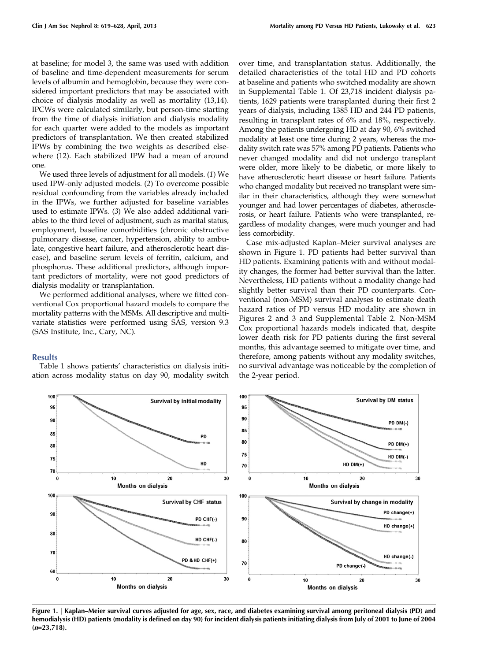at baseline; for model 3, the same was used with addition of baseline and time-dependent measurements for serum levels of albumin and hemoglobin, because they were considered important predictors that may be associated with choice of dialysis modality as well as mortality (13,14). IPCWs were calculated similarly, but person-time starting from the time of dialysis initiation and dialysis modality for each quarter were added to the models as important predictors of transplantation. We then created stabilized IPWs by combining the two weights as described elsewhere (12). Each stabilized IPW had a mean of around one.

We used three levels of adjustment for all models. (1) We used IPW-only adjusted models. (2) To overcome possible residual confounding from the variables already included in the IPWs, we further adjusted for baseline variables used to estimate IPWs. (3) We also added additional variables to the third level of adjustment, such as marital status, employment, baseline comorbidities (chronic obstructive pulmonary disease, cancer, hypertension, ability to ambulate, congestive heart failure, and atherosclerotic heart disease), and baseline serum levels of ferritin, calcium, and phosphorus. These additional predictors, although important predictors of mortality, were not good predictors of dialysis modality or transplantation.

We performed additional analyses, where we fitted conventional Cox proportional hazard models to compare the mortality patterns with the MSMs. All descriptive and multivariate statistics were performed using SAS, version 9.3 (SAS Institute, Inc., Cary, NC).

## **Results**

Table 1 shows patients' characteristics on dialysis initiation across modality status on day 90, modality switch over time, and transplantation status. Additionally, the detailed characteristics of the total HD and PD cohorts at baseline and patients who switched modality are shown in [Supplemental Table 1.](http://cjasn.asnjournals.org/lookup/suppl/doi:10.2215/CJN.04810512/-/DCSupplemental) Of 23,718 incident dialysis patients, 1629 patients were transplanted during their first 2 years of dialysis, including 1385 HD and 244 PD patients, resulting in transplant rates of 6% and 18%, respectively. Among the patients undergoing HD at day 90, 6% switched modality at least one time during 2 years, whereas the modality switch rate was 57% among PD patients. Patients who never changed modality and did not undergo transplant were older, more likely to be diabetic, or more likely to have atherosclerotic heart disease or heart failure. Patients who changed modality but received no transplant were similar in their characteristics, although they were somewhat younger and had lower percentages of diabetes, atherosclerosis, or heart failure. Patients who were transplanted, regardless of modality changes, were much younger and had less comorbidity.

Case mix-adjusted Kaplan–Meier survival analyses are shown in Figure 1. PD patients had better survival than HD patients. Examining patients with and without modality changes, the former had better survival than the latter. Nevertheless, HD patients without a modality change had slightly better survival than their PD counterparts. Conventional (non-MSM) survival analyses to estimate death hazard ratios of PD versus HD modality are shown in Figures 2 and 3 and [Supplemental Table 2.](http://cjasn.asnjournals.org/lookup/suppl/doi:10.2215/CJN.04810512/-/DCSupplemental) Non-MSM Cox proportional hazards models indicated that, despite lower death risk for PD patients during the first several months, this advantage seemed to mitigate over time, and therefore, among patients without any modality switches, no survival advantage was noticeable by the completion of the 2-year period.



Figure 1. | Kaplan–Meier survival curves adjusted for age, sex, race, and diabetes examining survival among peritoneal dialysis (PD) and hemodialysis (HD) patients (modality is defined on day 90) for incident dialysis patients initiating dialysis from July of 2001 to June of 2004  $(n=23,718)$ .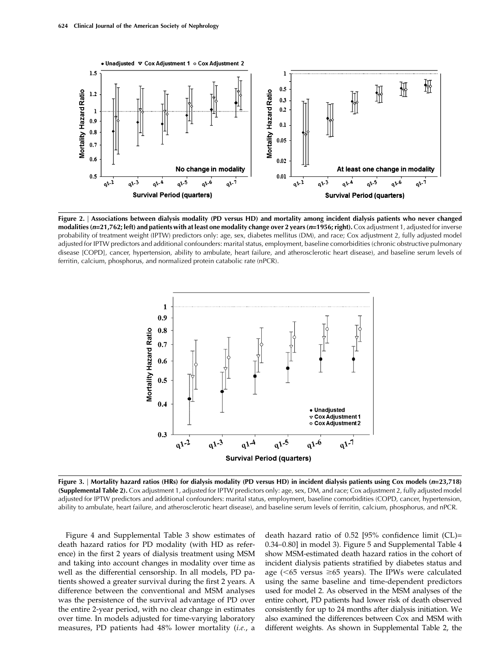

Figure 2. | Associations between dialysis modality (PD versus HD) and mortality among incident dialysis patients who never changed modalities (n=21,762; left) and patients with at least one modality change over 2 years (n=1956; right). Cox adjustment 1, adjusted for inverse probability of treatment weight (IPTW) predictors only: age, sex, diabetes mellitus (DM), and race; Cox adjustment 2, fully adjusted model adjusted for IPTW predictors and additional confounders: marital status, employment, baseline comorbidities (chronic obstructive pulmonary disease [COPD], cancer, hypertension, ability to ambulate, heart failure, and atherosclerotic heart disease), and baseline serum levels of ferritin, calcium, phosphorus, and normalized protein catabolic rate (nPCR).



Figure 3. | Mortality hazard ratios (HRs) for dialysis modality (PD versus HD) in incident dialysis patients using Cox models (n=23,718) ([Supplemental Table 2](http://cjasn.asnjournals.org/lookup/suppl/doi:10.2215/CJN.04810512/-/DCSupplemental)). Cox adjustment 1, adjusted for IPTW predictors only: age, sex, DM, and race; Cox adjustment 2, fully adjusted model adjusted for IPTW predictors and additional confounders: marital status, employment, baseline comorbidities (COPD, cancer, hypertension, ability to ambulate, heart failure, and atherosclerotic heart disease), and baseline serum levels of ferritin, calcium, phosphorus, and nPCR.

Figure 4 and [Supplemental Table 3](http://cjasn.asnjournals.org/lookup/suppl/doi:10.2215/CJN.04810512/-/DCSupplemental) show estimates of death hazard ratios for PD modality (with HD as reference) in the first 2 years of dialysis treatment using MSM and taking into account changes in modality over time as well as the differential censorship. In all models, PD patients showed a greater survival during the first 2 years. A difference between the conventional and MSM analyses was the persistence of the survival advantage of PD over the entire 2-year period, with no clear change in estimates over time. In models adjusted for time-varying laboratory measures, PD patients had 48% lower mortality (i.e., a

death hazard ratio of 0.52 [95% confidence limit (CL)= 0.34–0.80] in model 3). Figure 5 and [Supplemental Table 4](http://cjasn.asnjournals.org/lookup/suppl/doi:10.2215/CJN.04810512/-/DCSupplemental) show MSM-estimated death hazard ratios in the cohort of incident dialysis patients stratified by diabetes status and age ( $<65$  versus  $\geq 65$  years). The IPWs were calculated using the same baseline and time-dependent predictors used for model 2. As observed in the MSM analyses of the entire cohort, PD patients had lower risk of death observed consistently for up to 24 months after dialysis initiation. We also examined the differences between Cox and MSM with different weights. As shown in [Supplemental Table 2](http://cjasn.asnjournals.org/lookup/suppl/doi:10.2215/CJN.04810512/-/DCSupplemental), the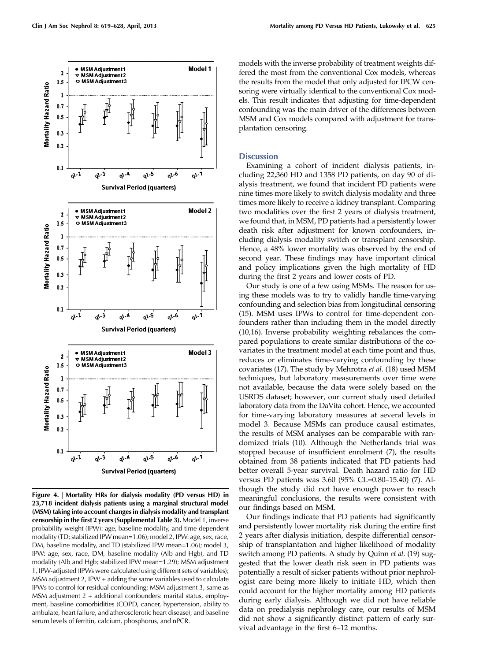

Figure 4. | Mortality HRs for dialysis modality (PD versus HD) in 23,718 incident dialysis patients using a marginal structural model (MSM) taking into account changes in dialysis modality and transplant censorship in the first 2 years [\(Supplemental Table 3](http://cjasn.asnjournals.org/lookup/suppl/doi:10.2215/CJN.04810512/-/DCSupplemental)). Model 1, inverse probability weight (IPW): age, baseline modality, and time-dependent modality (TD; stabilized IPW mean=1.06); model 2, IPW: age, sex, race, DM, baseline modality, and TD (stabilized IPW mean=1.06); model 3, IPW: age, sex, race, DM, baseline modality (Alb and Hgb), and TD modality (Alb and Hgb; stabilized IPW mean=1.29); MSM adjustment 1, IPW-adjusted (IPWs were calculated using different sets of variables); MSM adjustment 2, IPW + adding the same variables used to calculate IPWs to control for residual confounding; MSM adjustment 3, same as MSM adjustment 2 + additional confounders: marital status, employment, baseline comorbidities (COPD, cancer, hypertension, ability to ambulate, heart failure, and atherosclerotic heart disease), and baseline serum levels of ferritin, calcium, phosphorus, and nPCR.

models with the inverse probability of treatment weights differed the most from the conventional Cox models, whereas the results from the model that only adjusted for IPCW censoring were virtually identical to the conventional Cox models. This result indicates that adjusting for time-dependent confounding was the main driver of the differences between MSM and Cox models compared with adjustment for transplantation censoring.

## **Discussion**

Examining a cohort of incident dialysis patients, including 22,360 HD and 1358 PD patients, on day 90 of dialysis treatment, we found that incident PD patients were nine times more likely to switch dialysis modality and three times more likely to receive a kidney transplant. Comparing two modalities over the first 2 years of dialysis treatment, we found that, in MSM, PD patients had a persistently lower death risk after adjustment for known confounders, including dialysis modality switch or transplant censorship. Hence, a 48% lower mortality was observed by the end of second year. These findings may have important clinical and policy implications given the high mortality of HD during the first 2 years and lower costs of PD.

Our study is one of a few using MSMs. The reason for using these models was to try to validly handle time-varying confounding and selection bias from longitudinal censoring (15). MSM uses IPWs to control for time-dependent confounders rather than including them in the model directly (10,16). Inverse probability weighting rebalances the compared populations to create similar distributions of the covariates in the treatment model at each time point and thus, reduces or eliminates time-varying confounding by these covariates (17). The study by Mehrotra et al. (18) used MSM techniques, but laboratory measurements over time were not available, because the data were solely based on the USRDS dataset; however, our current study used detailed laboratory data from the DaVita cohort. Hence, we accounted for time-varying laboratory measures at several levels in model 3. Because MSMs can produce causal estimates, the results of MSM analyses can be comparable with randomized trials (10). Although the Netherlands trial was stopped because of insufficient enrolment (7), the results obtained from 38 patients indicated that PD patients had better overall 5-year survival. Death hazard ratio for HD versus PD patients was 3.60 (95% CL=0.80–15.40) (7). Although the study did not have enough power to reach meaningful conclusions, the results were consistent with our findings based on MSM.

Our findings indicate that PD patients had significantly and persistently lower mortality risk during the entire first 2 years after dialysis initiation, despite differential censorship of transplantation and higher likelihood of modality switch among PD patients. A study by Quinn et al. (19) suggested that the lower death risk seen in PD patients was potentially a result of sicker patients without prior nephrologist care being more likely to initiate HD, which then could account for the higher mortality among HD patients during early dialysis. Although we did not have reliable data on predialysis nephrology care, our results of MSM did not show a significantly distinct pattern of early survival advantage in the first 6–12 months.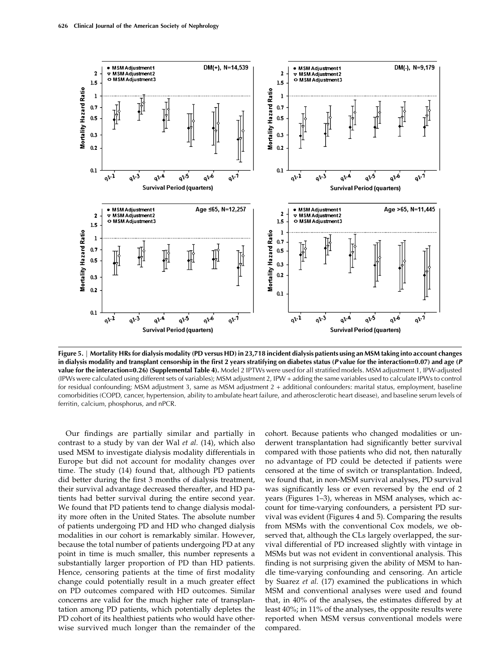

Figure 5. | Mortality HRs for dialysis modality (PD versus HD) in 23,718 incident dialysis patients using an MSM taking into account changes in dialysis modality and transplant censorship in the first 2 years stratifying on diabetes status (P value for the interaction=0.07) and age (P value for the interaction=0.26) ([Supplemental Table 4\)](http://cjasn.asnjournals.org/lookup/suppl/doi:10.2215/CJN.04810512/-/DCSupplemental). Model 2 IPTWs were used for all stratified models. MSM adjustment 1, IPW-adjusted (IPWs were calculated using different sets of variables); MSM adjustment 2, IPW + adding the same variables used to calculate IPWs to control for residual confounding; MSM adjustment 3, same as MSM adjustment 2 + additional confounders: marital status, employment, baseline comorbidities (COPD, cancer, hypertension, ability to ambulate heart failure, and atherosclerotic heart disease), and baseline serum levels of ferritin, calcium, phosphorus, and nPCR.

Our findings are partially similar and partially in contrast to a study by van der Wal et al. (14), which also used MSM to investigate dialysis modality differentials in Europe but did not account for modality changes over time. The study (14) found that, although PD patients did better during the first 3 months of dialysis treatment, their survival advantage decreased thereafter, and HD patients had better survival during the entire second year. We found that PD patients tend to change dialysis modality more often in the United States. The absolute number of patients undergoing PD and HD who changed dialysis modalities in our cohort is remarkably similar. However, because the total number of patients undergoing PD at any point in time is much smaller, this number represents a substantially larger proportion of PD than HD patients. Hence, censoring patients at the time of first modality change could potentially result in a much greater effect on PD outcomes compared with HD outcomes. Similar concerns are valid for the much higher rate of transplantation among PD patients, which potentially depletes the PD cohort of its healthiest patients who would have otherwise survived much longer than the remainder of the cohort. Because patients who changed modalities or underwent transplantation had significantly better survival compared with those patients who did not, then naturally no advantage of PD could be detected if patients were censored at the time of switch or transplantation. Indeed, we found that, in non-MSM survival analyses, PD survival was significantly less or even reversed by the end of 2 years (Figures 1–3), whereas in MSM analyses, which account for time-varying confounders, a persistent PD survival was evident (Figures 4 and 5). Comparing the results from MSMs with the conventional Cox models, we observed that, although the CLs largely overlapped, the survival differential of PD increased slightly with vintage in MSMs but was not evident in conventional analysis. This finding is not surprising given the ability of MSM to handle time-varying confounding and censoring. An article by Suarez et al. (17) examined the publications in which MSM and conventional analyses were used and found that, in 40% of the analyses, the estimates differed by at least 40%; in 11% of the analyses, the opposite results were reported when MSM versus conventional models were compared.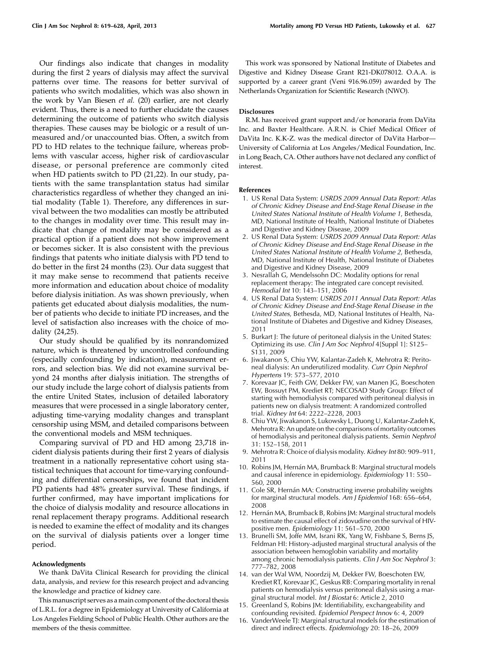Our findings also indicate that changes in modality during the first 2 years of dialysis may affect the survival patterns over time. The reasons for better survival of patients who switch modalities, which was also shown in the work by Van Biesen et al. (20) earlier, are not clearly evident. Thus, there is a need to further elucidate the causes determining the outcome of patients who switch dialysis therapies. These causes may be biologic or a result of unmeasured and/or unaccounted bias. Often, a switch from PD to HD relates to the technique failure, whereas problems with vascular access, higher risk of cardiovascular disease, or personal preference are commonly cited when HD patients switch to PD (21,22). In our study, patients with the same transplantation status had similar characteristics regardless of whether they changed an initial modality (Table 1). Therefore, any differences in survival between the two modalities can mostly be attributed to the changes in modality over time. This result may indicate that change of modality may be considered as a practical option if a patient does not show improvement or becomes sicker. It is also consistent with the previous findings that patents who initiate dialysis with PD tend to do better in the first 24 months (23). Our data suggest that it may make sense to recommend that patients receive more information and education about choice of modality before dialysis initiation. As was shown previously, when patients get educated about dialysis modalities, the number of patients who decide to initiate PD increases, and the level of satisfaction also increases with the choice of modality (24,25).

Our study should be qualified by its nonrandomized nature, which is threatened by uncontrolled confounding (especially confounding by indication), measurement errors, and selection bias. We did not examine survival beyond 24 months after dialysis initiation. The strengths of our study include the large cohort of dialysis patients from the entire United States, inclusion of detailed laboratory measures that were processed in a single laboratory center, adjusting time-varying modality changes and transplant censorship using MSM, and detailed comparisons between the conventional models and MSM techniques.

Comparing survival of PD and HD among 23,718 incident dialysis patients during their first 2 years of dialysis treatment in a nationally representative cohort using statistical techniques that account for time-varying confounding and differential censorships, we found that incident PD patients had 48% greater survival. These findings, if further confirmed, may have important implications for the choice of dialysis modality and resource allocations in renal replacement therapy programs. Additional research is needed to examine the effect of modality and its changes on the survival of dialysis patients over a longer time period.

## Acknowledgments

We thank DaVita Clinical Research for providing the clinical data, analysis, and review for this research project and advancing the knowledge and practice of kidney care.

This manuscript serves as a main component of the doctoral thesis of L.R.L. for a degree in Epidemiology at University of California at Los Angeles Fielding School of Public Health. Other authors are the members of the thesis committee.

This work was sponsored by National Institute of Diabetes and Digestive and Kidney Disease Grant R21-DK078012. O.A.A. is supported by a career grant (Veni 916.96.059) awarded by The Netherlands Organization for Scientific Research (NWO).

#### Disclosures

R.M. has received grant support and/or honoraria from DaVita Inc. and Baxter Healthcare. A.R.N. is Chief Medical Officer of DaVita Inc. K.K-Z. was the medical director of DaVita Harbor— University of California at Los Angeles/Medical Foundation, Inc. in Long Beach, CA. Other authors have not declared any conflict of interest.

#### References

- 1. US Renal Data System: USRDS 2009 Annual Data Report: Atlas of Chronic Kidney Disease and End-Stage Renal Disease in the United States National Institute of Health Volume 1, Bethesda, MD, National Institute of Health, National Institute of Diabetes and Digestive and Kidney Disease, 2009
- 2. US Renal Data System: USRDS 2009 Annual Data Report: Atlas of Chronic Kidney Disease and End-Stage Renal Disease in the United States National Institute of Health Volume 2, Bethesda, MD, National Institute of Health, National Institute of Diabetes and Digestive and Kidney Disease, 2009
- 3. Nesrallah G, Mendelssohn DC: Modality options for renal replacement therapy: The integrated care concept revisited. Hemodial Int 10: 143–151, 2006
- 4. US Renal Data System: USRDS 2011 Annual Data Report: Atlas of Chronic Kidney Disease and End-Stage Renal Disease in the United States, Bethesda, MD, National Institutes of Health, National Institute of Diabetes and Digestive and Kidney Diseases, 2011
- 5. Burkart J: The future of peritoneal dialysis in the United States: Optimizing its use. Clin J Am Soc Nephrol 4[Suppl 1]: S125– S131, 2009
- 6. Jiwakanon S, Chiu YW, Kalantar-Zadeh K, Mehrotra R: Peritoneal dialysis: An underutilized modality. Curr Opin Nephrol Hypertens 19: 573–577, 2010
- 7. Korevaar JC, Feith GW, Dekker FW, van Manen JG, Boeschoten EW, Bossuyt PM, Krediet RT; NECOSAD Study Group: Effect of starting with hemodialysis compared with peritoneal dialysis in patients new on dialysis treatment: A randomized controlled trial. Kidney Int 64: 2222–2228, 2003
- 8. Chiu YW, Jiwakanon S, Lukowsky L, Duong U, Kalantar-Zadeh K, Mehrotra R: An update on the comparisons of mortality outcomes of hemodialysis and peritoneal dialysis patients. Semin Nephrol 31: 152–158, 2011
- 9. Mehrotra R: Choice of dialysis modality. Kidney Int 80: 909–911, 2011
- 10. Robins JM, Hernán MA, Brumback B: Marginal structural models and causal inference in epidemiology. Epidemiology 11: 550– 560, 2000
- 11. Cole SR, Hernán MA: Constructing inverse probability weights for marginal structural models. Am J Epidemiol 168: 656–664, 2008
- 12. Hernán MA, Brumback B, Robins JM: Marginal structural models to estimate the causal effect of zidovudine on the survival of HIVpositive men. Epidemiology 11: 561-570, 2000
- 13. Brunelli SM, Joffe MM, Israni RK, Yang W, Fishbane S, Berns JS, Feldman HI: History-adjusted marginal structural analysis of the association between hemoglobin variability and mortality among chronic hemodialysis patients. Clin J Am Soc Nephrol 3: 777–782, 2008
- 14. van der Wal WM, Noordzij M, Dekker FW, Boeschoten EW, Krediet RT, Korevaar JC, Geskus RB: Comparing mortality in renal patients on hemodialysis versus peritoneal dialysis using a marginal structural model. Int J Biostat 6: Article 2, 2010
- 15. Greenland S, Robins JM: Identifiability, exchangeability and confounding revisited. Epidemiol Perspect Innov 6: 4, 2009
- 16. VanderWeele TJ: Marginal structural models for the estimation of direct and indirect effects. Epidemiology 20: 18–26, 2009